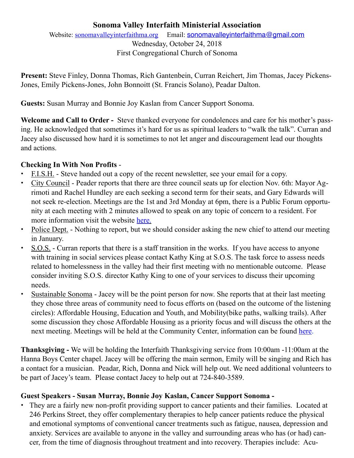# **Sonoma Valley Interfaith Ministerial Association**

Website: [sonomavalleyinterfaithma.org](http://sonomavalleyinterfaithma.org) Email: [sonomavalleyinterfaithma@gmail.com](mailto:sonomavalleyinterfaithma@gmail.com) Wednesday, October 24, 2018 First Congregational Church of Sonoma

**Present:** Steve Finley, Donna Thomas, Rich Gantenbein, Curran Reichert, Jim Thomas, Jacey Pickens-Jones, Emily Pickens-Jones, John Bonnoitt (St. Francis Solano), Peadar Dalton.

**Guests:** Susan Murray and Bonnie Joy Kaslan from Cancer Support Sonoma.

**Welcome and Call to Order -** Steve thanked everyone for condolences and care for his mother's passing. He acknowledged that sometimes it's hard for us as spiritual leaders to "walk the talk". Curran and Jacey also discussed how hard it is sometimes to not let anger and discouragement lead our thoughts and actions.

### **Checking In With Non Profits** -

- **•** F.I.S.H. Steve handed out a copy of the recent newsletter, see your email for a copy.
- **•** City Council Peader reports that there are three council seats up for election Nov. 6th: Mayor Agrimoti and Rachel Hundley are each seeking a second term for their seats, and Gary Edwards will not seek re-election. Meetings are the 1st and 3rd Monday at 6pm, there is a Public Forum opportunity at each meeting with 2 minutes allowed to speak on any topic of concern to a resident. For more information visit the website [here.](https://www.sonomacity.org/agendas-minutes-videos/)
- **•** Police Dept. Nothing to report, but we should consider asking the new chief to attend our meeting in January.
- **•** S.O.S. Curran reports that there is a staff transition in the works. If you have access to anyone with training in social services please contact Kathy King at S.O.S. The task force to assess needs related to homelessness in the valley had their first meeting with no mentionable outcome. Please consider inviting S.O.S. director Kathy King to one of your services to discuss their upcoming needs.
- **•** Sustainable Sonoma Jacey will be the point person for now. She reports that at their last meeting they chose three areas of community need to focus efforts on (based on the outcome of the listening circles): Affordable Housing, Education and Youth, and Mobility(bike paths, walking trails). After some discussion they chose Affordable Housing as a priority focus and will discuss the others at the next meeting. Meetings will be held at the Community Center, information can be found [here](https://www.sustainablesonoma.net/activities/).

**Thanksgiving -** We will be holding the Interfaith Thanksgiving service from 10:00am -11:00am at the Hanna Boys Center chapel. Jacey will be offering the main sermon, Emily will be singing and Rich has a contact for a musician. Peadar, Rich, Donna and Nick will help out. We need additional volunteers to be part of Jacey's team. Please contact Jacey to help out at 724-840-3589.

### **Guest Speakers - Susan Murray, Bonnie Joy Kaslan, Cancer Support Sonoma -**

• They are a fairly new non-profit providing support to cancer patients and their families. Located at 246 Perkins Street, they offer complementary therapies to help cancer patients reduce the physical and emotional symptoms of conventional cancer treatments such as fatigue, nausea, depression and anxiety. Services are available to anyone in the valley and surrounding areas who has (or had) cancer, from the time of diagnosis throughout treatment and into recovery. Therapies include: Acu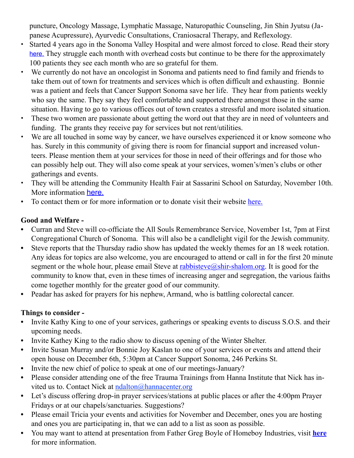puncture, Oncology Massage, Lymphatic Massage, Naturopathic Counseling, Jin Shin Jyutsu (Japanese Acupressure), Ayurvedic Consultations, Craniosacral Therapy, and Reflexology.

- Started 4 years ago in the Sonoma Valley Hospital and were almost forced to close. Read their story [here.](https://www.cancersupportsonoma.com/about-cancer-support-sonoma/) They struggle each month with overhead costs but continue to be there for the approximately 100 patients they see each month who are so grateful for them.
- We currently do not have an oncologist in Sonoma and patients need to find family and friends to take them out of town for treatments and services which is often difficult and exhausting. Bonnie was a patient and feels that Cancer Support Sonoma save her life. They hear from patients weekly who say the same. They say they feel comfortable and supported there amongst those in the same situation. Having to go to various offices out of town creates a stressful and more isolated situation.
- These two women are passionate about getting the word out that they are in need of volunteers and funding. The grants they receive pay for services but not rent/utilities.
- We are all touched in some way by cancer, we have ourselves experienced it or know someone who has. Surely in this community of giving there is room for financial support and increased volunteers. Please mention them at your services for those in need of their offerings and for those who can possibly help out. They will also come speak at your services, women's/men's clubs or other gatherings and events.
- They will be attending the Community Health Fair at Sassarini School on Saturday, November 10th. More information [here.](https://www.svh.com/event/sonoma-valley-community-health-fair-healthy-mind-healthy-life/?instance_id=1644)
- To contact them or for more information or to donate visit their website [here.](https://www.cancersupportsonoma.com/)

# **Good and Welfare -**

- **•** Curran and Steve will co-officiate the All Souls Remembrance Service, November 1st, 7pm at First Congregational Church of Sonoma. This will also be a candlelight vigil for the Jewish community.
- **•** Steve reports that the Thursday radio show has updated the weekly themes for an 18 week rotation. Any ideas for topics are also welcome, you are encouraged to attend or call in for the first 20 minute segment or the whole hour, please email Steve at  $r_{\text{absolute}}(a_{\text{shir-shalom.org}})$ . It is good for the community to know that, even in these times of increasing anger and segregation, the various faiths come together monthly for the greater good of our community.
- **•** Peadar has asked for prayers for his nephew, Armand, who is battling colorectal cancer.

### **Things to consider -**

- **•** Invite Kathy King to one of your services, gatherings or speaking events to discuss S.O.S. and their upcoming needs.
- **•** Invite Kathey King to the radio show to discuss opening of the Winter Shelter.
- Invite Susan Murray and/or Bonnie Joy Kaslan to one of your services or events and attend their open house on December 6th, 5:30pm at Cancer Support Sonoma, 246 Perkins St.
- **•** Invite the new chief of police to speak at one of our meetings-January?
- **•** Please consider attending one of the free Trauma Trainings from Hanna Institute that Nick has invited us to. Contact Nick at ndalton@hannacenter.org
- **•** Let's discuss offering drop-in prayer services/stations at public places or after the 4:00pm Prayer Fridays or at our chapels/sanctuaries. Suggestions?
- **•** Please email Tricia your events and activities for November and December, ones you are hosting and ones you are participating in, that we can add to a list as soon as possible.
- **•** You may want to attend at presentation from Father Greg Boyle of Homeboy Industries, visit **[here](https://www.hannacenter.org/event/gregory-boyle/)** for more information.